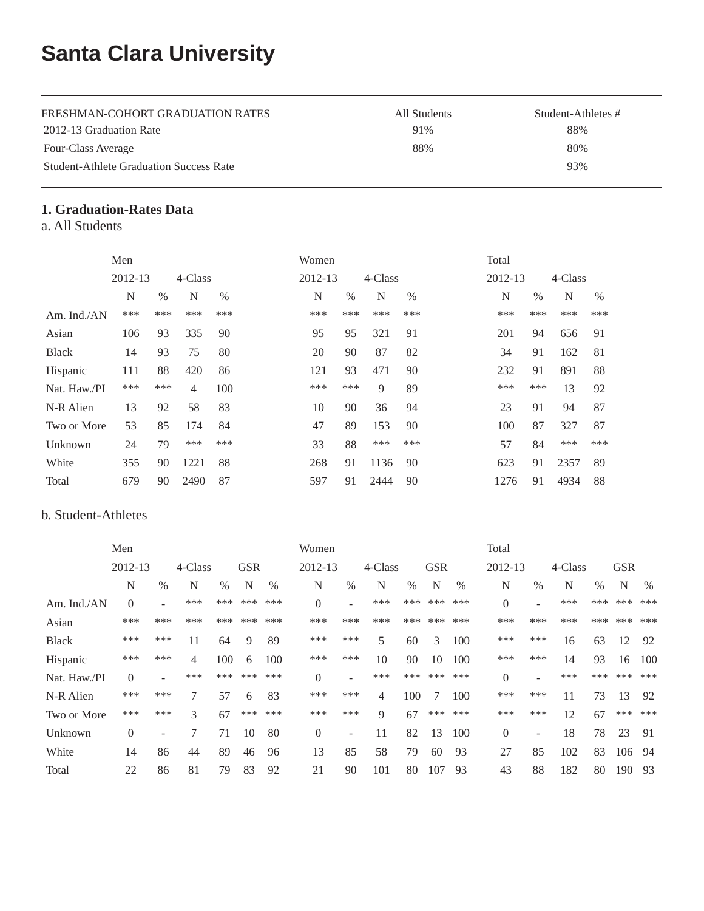# **Santa Clara University**

| FRESHMAN-COHORT GRADUATION RATES               | All Students | Student-Athletes # |
|------------------------------------------------|--------------|--------------------|
| 2012-13 Graduation Rate                        | 91%          | 88%                |
| Four-Class Average                             | 88%          | 80%                |
| <b>Student-Athlete Graduation Success Rate</b> |              | 93%                |

## **1. Graduation-Rates Data**

a. All Students

|              | Men     |      |                |      | Women   |      |         |      | Total   |      |         |      |
|--------------|---------|------|----------------|------|---------|------|---------|------|---------|------|---------|------|
|              | 2012-13 |      | 4-Class        |      | 2012-13 |      | 4-Class |      | 2012-13 |      | 4-Class |      |
|              | N       | $\%$ | N              | $\%$ | N       | $\%$ | N       | $\%$ | N       | $\%$ | N       | $\%$ |
| Am. Ind./AN  | ***     | ***  | ***            | ***  | ***     | ***  | ***     | ***  | ***     | ***  | ***     | ***  |
| Asian        | 106     | 93   | 335            | 90   | 95      | 95   | 321     | 91   | 201     | 94   | 656     | 91   |
| <b>Black</b> | 14      | 93   | 75             | 80   | 20      | 90   | 87      | 82   | 34      | 91   | 162     | 81   |
| Hispanic     | 111     | 88   | 420            | 86   | 121     | 93   | 471     | 90   | 232     | 91   | 891     | 88   |
| Nat. Haw./PI | ***     | ***  | $\overline{4}$ | 100  | ***     | ***  | 9       | 89   | ***     | ***  | 13      | 92   |
| N-R Alien    | 13      | 92   | 58             | 83   | 10      | 90   | 36      | 94   | 23      | 91   | 94      | 87   |
| Two or More  | 53      | 85   | 174            | 84   | 47      | 89   | 153     | 90   | 100     | 87   | 327     | 87   |
| Unknown      | 24      | 79   | ***            | ***  | 33      | 88   | ***     | ***  | 57      | 84   | ***     | ***  |
| White        | 355     | 90   | 1221           | 88   | 268     | 91   | 1136    | 90   | 623     | 91   | 2357    | 89   |
| Total        | 679     | 90   | 2490           | 87   | 597     | 91   | 2444    | 90   | 1276    | 91   | 4934    | 88   |

#### b. Student-Athletes

|              | Men            |                          |         |      |            |      | Women          |      |         |      |            |      | Total          |                          |         |      |            |      |
|--------------|----------------|--------------------------|---------|------|------------|------|----------------|------|---------|------|------------|------|----------------|--------------------------|---------|------|------------|------|
|              | 2012-13        |                          | 4-Class |      | <b>GSR</b> |      | 2012-13        |      | 4-Class |      | <b>GSR</b> |      | 2012-13        |                          | 4-Class |      | <b>GSR</b> |      |
|              | N              | $\%$                     | N       | $\%$ | N          | $\%$ | N              | $\%$ | N       | $\%$ | N          | $\%$ | N              | $\%$                     | N       | $\%$ | N          | $\%$ |
| Am. Ind./AN  | $\theta$       | ٠                        | ***     | ***  | ***        | ***  | $\overline{0}$ |      | ***     | ***  | ***        | ***  | $\overline{0}$ |                          | ***     | ***  | ***        | ***  |
| Asian        | ***            | ***                      | ***     | ***  | ***        | ***  | ***            | ***  | ***     | ***  | ***        | ***  | ***            | ***                      | ***     | ***  | ***        | ***  |
| <b>Black</b> | ***            | ***                      | 11      | 64   | 9          | 89   | ***            | ***  | 5       | 60   | 3          | 100  | ***            | ***                      | 16      | 63   | 12         | 92   |
| Hispanic     | ***            | ***                      | 4       | 100  | 6          | 100  | ***            | ***  | 10      | 90   | 10         | 100  | ***            | ***                      | 14      | 93   | 16         | 100  |
| Nat. Haw./PI | $\theta$       | Ξ.                       | ***     | ***  | ***        | ***  | $\Omega$       |      | ***     | ***  | ***        | ***  | $\overline{0}$ | ٠                        | ***     | ***  | ***        | ***  |
| N-R Alien    | ***            | ***                      | 7       | 57   | 6          | 83   | ***            | ***  | 4       | 100  |            | 100  | ***            | ***                      | 11      | 73   | 13         | 92   |
| Two or More  | ***            | ***                      | 3       | 67   | ***        | ***  | ***            | ***  | 9       | 67   | ***        | ***  | ***            | ***                      | 12      | 67   | ***        | ***  |
| Unknown      | $\overline{0}$ | $\overline{\phantom{a}}$ | 7       | 71   | 10         | 80   | $\Omega$       | ۰    | 11      | 82   | 13         | 100  | $\overline{0}$ | $\overline{\phantom{a}}$ | 18      | 78   | 23         | 91   |
| White        | 14             | 86                       | 44      | 89   | 46         | 96   | 13             | 85   | 58      | 79   | 60         | 93   | 27             | 85                       | 102     | 83   | 106        | 94   |
| Total        | 22             | 86                       | 81      | 79   | 83         | 92   | 21             | 90   | 101     | 80   | 107        | 93   | 43             | 88                       | 182     | 80   | 190        | 93   |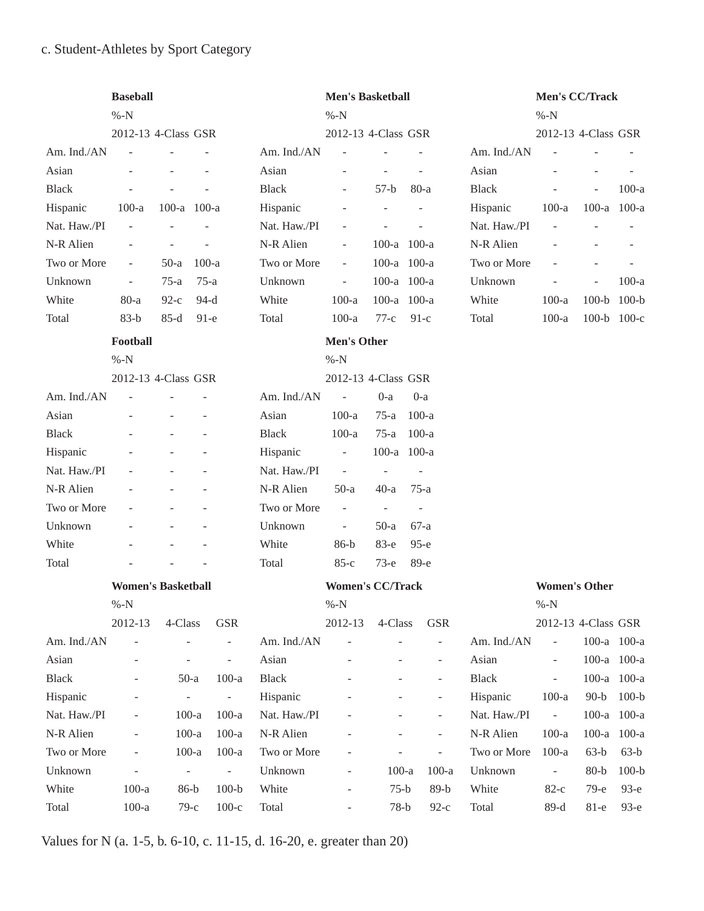# c. Student-Athletes by Sport Category

|              | <b>Baseball</b><br>$% -N$ |                          |                          |              | <b>Men's Basketball</b><br>$% -N$ |                     |                          |              | Men's CC/Track<br>$% -N$ |                |         |
|--------------|---------------------------|--------------------------|--------------------------|--------------|-----------------------------------|---------------------|--------------------------|--------------|--------------------------|----------------|---------|
|              | 2012-13 4-Class GSR       |                          |                          |              | 2012-13 4-Class GSR               |                     |                          |              | 2012-13 4-Class GSR      |                |         |
| Am. Ind./AN  |                           |                          |                          | Am. Ind./AN  |                                   |                     |                          | Am. Ind./AN  |                          |                |         |
| Asian        |                           |                          |                          | Asian        |                                   |                     |                          | Asian        |                          |                |         |
| <b>Black</b> |                           |                          |                          | <b>Black</b> | $\bar{\phantom{a}}$               | $57-b$              | $80-a$                   | <b>Black</b> |                          | $\overline{a}$ | $100-a$ |
| Hispanic     | $100-a$                   | 100-a 100-a              |                          | Hispanic     |                                   |                     |                          | Hispanic     | $100-a$                  | $100-a$        | $100-a$ |
| Nat. Haw./PI | $\sim$                    |                          |                          | Nat. Haw./PI | $\bar{\phantom{a}}$               |                     |                          | Nat. Haw./PI |                          |                |         |
| N-R Alien    |                           | $\overline{\phantom{a}}$ | $\overline{\phantom{a}}$ | N-R Alien    | $\bar{\phantom{a}}$               | 100-a 100-a         |                          | N-R Alien    |                          |                |         |
| Two or More  | $\overline{\phantom{a}}$  | $50-a$                   | $100-a$                  | Two or More  | $\overline{\phantom{a}}$          | 100-a 100-a         |                          | Two or More  | L,                       |                |         |
| Unknown      | $\overline{\phantom{a}}$  | $75-a$                   | $75-a$                   | Unknown      | $\overline{\phantom{a}}$          | 100-a 100-a         |                          | Unknown      |                          |                | $100-a$ |
| White        | $80-a$                    | $92-c$                   | $94-d$                   | White        | $100-a$                           | 100-a 100-a         |                          | White        | $100-a$                  | $100-b$        | $100-b$ |
| Total        | $83-b$                    | $85-d$                   | $91-e$                   | Total        | $100-a$                           | $77-c$              | $91-c$                   | Total        | $100-a$                  | 100-b 100-c    |         |
|              | <b>Football</b>           |                          |                          |              | Men's Other                       |                     |                          |              |                          |                |         |
|              | %N                        |                          |                          |              | $% -N$                            |                     |                          |              |                          |                |         |
|              | 2012-13 4-Class GSR       |                          |                          |              | 2012-13 4-Class GSR               |                     |                          |              |                          |                |         |
| Am. Ind./AN  |                           |                          |                          | Am. Ind./AN  | $\sim$ $-$                        | $0-a$               | $0-a$                    |              |                          |                |         |
| Asian        |                           |                          |                          | Asian        | $100-a$                           | $75-a$              | $100-a$                  |              |                          |                |         |
| <b>Black</b> |                           |                          |                          | <b>Black</b> | $100-a$                           | $75-a$              | $100-a$                  |              |                          |                |         |
| Hispanic     |                           |                          |                          | Hispanic     | ÷,                                | 100-a 100-a         |                          |              |                          |                |         |
| Nat. Haw./PI |                           |                          |                          | Nat. Haw./PI | $\overline{\phantom{a}}$          | $\blacksquare$      | $\overline{\phantom{a}}$ |              |                          |                |         |
| N-R Alien    |                           |                          |                          | N-R Alien    | $50-a$                            | $40-a$              | $75-a$                   |              |                          |                |         |
| Two or More  |                           |                          |                          | Two or More  | $\omega$                          | $\bar{\phantom{a}}$ | $\mathcal{L}$            |              |                          |                |         |
| Unknown      |                           |                          |                          | Unknown      | $\blacksquare$                    | $50-a$              | $67-a$                   |              |                          |                |         |
| White        |                           |                          |                          | White        | $86-b$                            | 83-е                | $95-e$                   |              |                          |                |         |
| Total        |                           |                          |                          | Total        | $85-c$                            | $73-e$              | 89-е                     |              |                          |                |         |
|              | <b>Women's Basketball</b> |                          |                          |              | <b>Women's CC/Track</b>           |                     |                          |              | <b>Women's Other</b>     |                |         |
|              | $% -N$                    |                          |                          |              | $% -N$                            |                     |                          |              | $% -N$                   |                |         |
|              | 2012-13                   | 4-Class                  | <b>GSR</b>               |              | 2012-13                           | 4-Class             | <b>GSR</b>               |              | 2012-13 4-Class GSR      |                |         |
| Am. Ind./AN  | $\overline{a}$            |                          | $\overline{\phantom{a}}$ | Am. Ind./AN  |                                   |                     | ÷,                       | Am. Ind./AN  | $\Box$                   | 100-a 100-a    |         |
| Asian        | $\frac{1}{2}$             | $\overline{\phantom{a}}$ | $\blacksquare$           | Asian        |                                   |                     | $\overline{\phantom{a}}$ | Asian        | $\overline{\phantom{a}}$ | 100-a 100-a    |         |
| <b>Black</b> | $\overline{\phantom{0}}$  | $50-a$                   | $100-a$                  | <b>Black</b> |                                   |                     | $\overline{a}$           | <b>Black</b> | $\frac{1}{2}$            | 100-a 100-a    |         |
| Hispanic     |                           | $\overline{\phantom{a}}$ | $\overline{\phantom{a}}$ | Hispanic     |                                   |                     |                          | Hispanic     | $100-a$                  | $90-b$         | $100-b$ |
| Nat. Haw./PI |                           | $100-a$                  | $100-a$                  | Nat. Haw./PI |                                   |                     | $\overline{\phantom{a}}$ | Nat. Haw./PI | $\blacksquare$           | 100-a 100-a    |         |
| N-R Alien    |                           | $100-a$                  | $100-a$                  | N-R Alien    |                                   |                     | $\overline{\phantom{a}}$ | N-R Alien    | $100-a$                  | $100-a$        | $100-a$ |
| Two or More  |                           | $100-a$                  | $100-a$                  | Two or More  |                                   |                     | L.                       | Two or More  | $100-a$                  | $63-b$         | $63-b$  |
| Unknown      | $\overline{a}$            | $\overline{\phantom{a}}$ | $\overline{\phantom{a}}$ | Unknown      |                                   | $100-a$             | $100-a$                  | Unknown      | $\overline{\phantom{a}}$ | $80-b$         | $100-b$ |
| White        | $100-a$                   | $86-b$                   | $100-b$                  | White        | $\overline{\phantom{a}}$          | $75-b$              | $89-b$                   | White        | $82-c$                   | 79-е           | 93-е    |
| Total        | $100-a$                   | $79-c$                   | $100-c$                  | Total        |                                   | $78-b$              | $92-c$                   | Total        | $89-d$                   | 81-e           | 93-е    |

Values for N (a. 1-5, b. 6-10, c. 11-15, d. 16-20, e. greater than 20)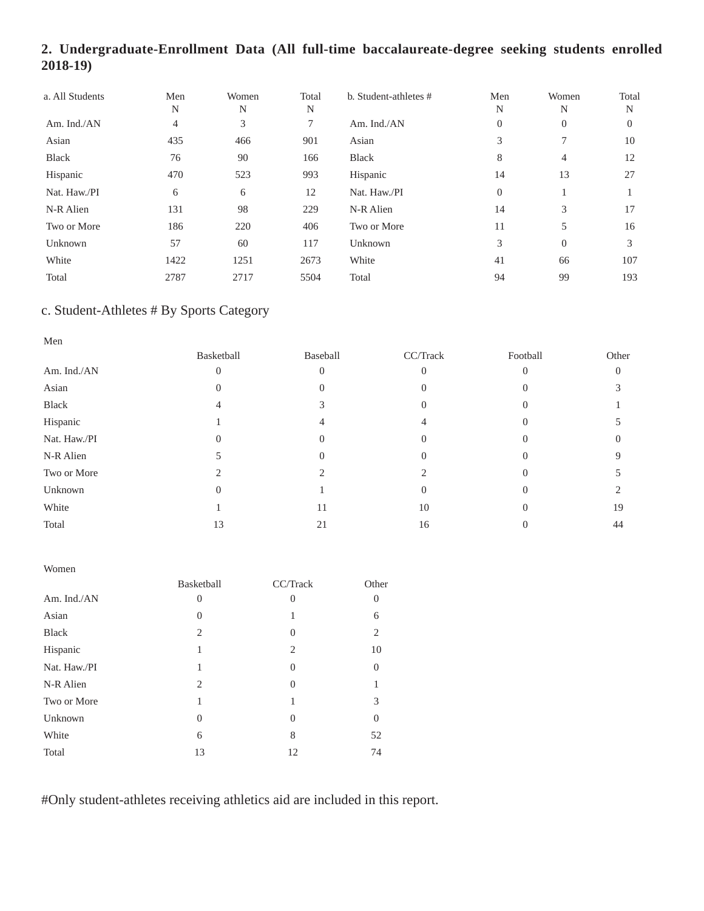# **2. Undergraduate-Enrollment Data (All full-time baccalaureate-degree seeking students enrolled 2018-19)**

| a. All Students | Men<br>N | Women<br>N | Total<br>N | b. Student-athletes # | Men<br>N     | Women<br>N | Total<br>N     |
|-----------------|----------|------------|------------|-----------------------|--------------|------------|----------------|
| Am. Ind./AN     | 4        | 3          | 7          | Am. Ind./AN           | $\mathbf{0}$ | $\theta$   | $\overline{0}$ |
| Asian           | 435      | 466        | 901        | Asian                 | 3            | 7          | 10             |
| <b>Black</b>    | 76       | 90         | 166        | <b>Black</b>          | 8            | 4          | 12             |
| Hispanic        | 470      | 523        | 993        | Hispanic              | 14           | 13         | 27             |
| Nat. Haw./PI    | 6        | 6          | 12         | Nat. Haw./PI          | $\mathbf{0}$ |            |                |
| N-R Alien       | 131      | 98         | 229        | N-R Alien             | 14           | 3          | 17             |
| Two or More     | 186      | 220        | 406        | Two or More           | 11           | 5          | 16             |
| Unknown         | 57       | 60         | 117        | Unknown               | 3            | $\Omega$   | 3              |
| White           | 1422     | 1251       | 2673       | White                 | 41           | 66         | 107            |
| Total           | 2787     | 2717       | 5504       | Total                 | 94           | 99         | 193            |

## c. Student-Athletes # By Sports Category

| Men          |            |          |          |          |                |
|--------------|------------|----------|----------|----------|----------------|
|              | Basketball | Baseball | CC/Track | Football | Other          |
| Am. Ind./AN  |            | $\Omega$ | $\theta$ |          | $\overline{0}$ |
| Asian        | $\cup$     | $\Omega$ | 0        |          |                |
| Black        | 4          |          | O        |          |                |
| Hispanic     |            |          |          |          |                |
| Nat. Haw./PI |            | $\theta$ |          |          |                |
| N-R Alien    |            | $\Omega$ | 0        |          |                |
| Two or More  |            |          |          |          |                |
| Unknown      | $\theta$   |          | $\theta$ |          |                |
| White        |            | 11       | 10       |          | 19             |
| Total        | 13         | 21       | 16       |          | 44             |

| Women        |                  |          |          |
|--------------|------------------|----------|----------|
|              | Basketball       | CC/Track | Other    |
| Am. Ind./AN  | 0                | $\Omega$ | $\Omega$ |
| Asian        | $\left( \right)$ | 1        | 6        |
| <b>Black</b> | 2                | $\Omega$ | 2        |
| Hispanic     |                  | 2        | 10       |
| Nat. Haw./PI | 1                | $\Omega$ | $\Omega$ |
| N-R Alien    | 2                | $\Omega$ |          |
| Two or More  |                  | 1        | 3        |
| Unknown      | $\Omega$         | $\Omega$ | $\Omega$ |
| White        | 6                | 8        | 52       |
| Total        | 13               | 12       | 74       |

#Only student-athletes receiving athletics aid are included in this report.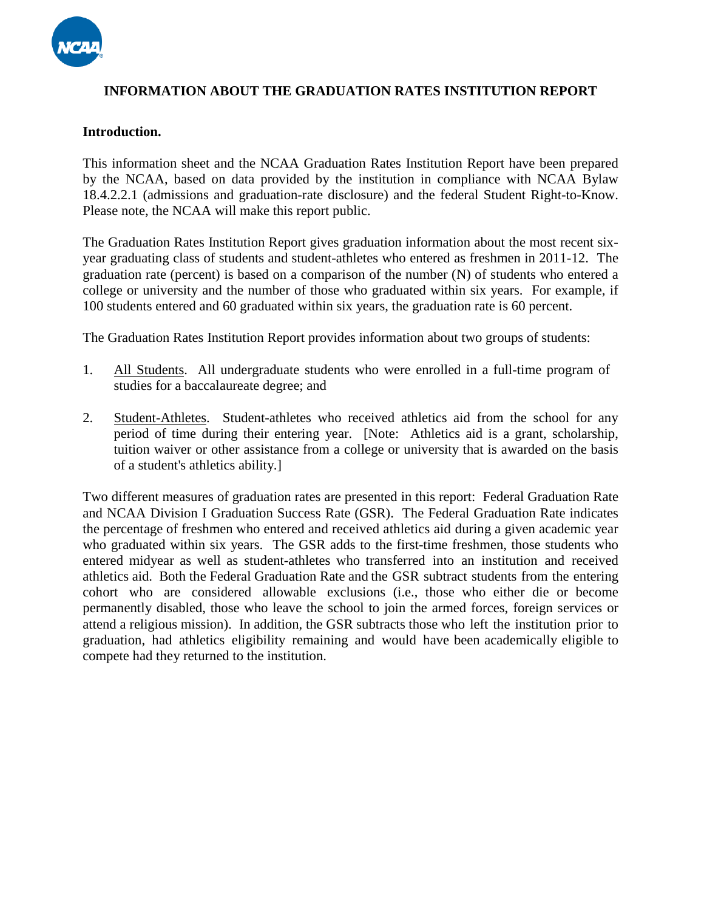

### **INFORMATION ABOUT THE GRADUATION RATES INSTITUTION REPORT**

#### **Introduction.**

This information sheet and the NCAA Graduation Rates Institution Report have been prepared by the NCAA, based on data provided by the institution in compliance with NCAA Bylaw 18.4.2.2.1 (admissions and graduation-rate disclosure) and the federal Student Right-to-Know. Please note, the NCAA will make this report public.

The Graduation Rates Institution Report gives graduation information about the most recent sixyear graduating class of students and student-athletes who entered as freshmen in 2011-12. The graduation rate (percent) is based on a comparison of the number (N) of students who entered a college or university and the number of those who graduated within six years. For example, if 100 students entered and 60 graduated within six years, the graduation rate is 60 percent.

The Graduation Rates Institution Report provides information about two groups of students:

- 1. All Students. All undergraduate students who were enrolled in a full-time program of studies for a baccalaureate degree; and
- 2. Student-Athletes. Student-athletes who received athletics aid from the school for any period of time during their entering year. [Note: Athletics aid is a grant, scholarship, tuition waiver or other assistance from a college or university that is awarded on the basis of a student's athletics ability.]

Two different measures of graduation rates are presented in this report: Federal Graduation Rate and NCAA Division I Graduation Success Rate (GSR). The Federal Graduation Rate indicates the percentage of freshmen who entered and received athletics aid during a given academic year who graduated within six years. The GSR adds to the first-time freshmen, those students who entered midyear as well as student-athletes who transferred into an institution and received athletics aid. Both the Federal Graduation Rate and the GSR subtract students from the entering cohort who are considered allowable exclusions (i.e., those who either die or become permanently disabled, those who leave the school to join the armed forces, foreign services or attend a religious mission). In addition, the GSR subtracts those who left the institution prior to graduation, had athletics eligibility remaining and would have been academically eligible to compete had they returned to the institution.